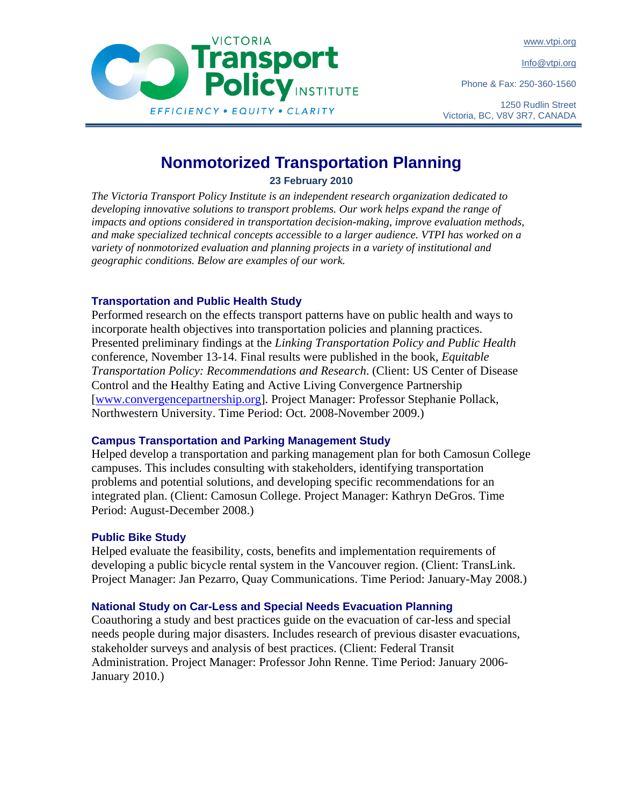www.vtpi.org

Info@vtpi.org

Phone & Fax: 250-360-1560



**VICTORIA** 

1250 Rudlin Street Victoria, BC, V8V 3R7, CANADA

# **Nonmotorized Transportation Planning**

**23 February 2010** 

*The Victoria Transport Policy Institute is an independent research organization dedicated to developing innovative solutions to transport problems. Our work helps expand the range of impacts and options considered in transportation decision-making, improve evaluation methods, and make specialized technical concepts accessible to a larger audience. VTPI has worked on a variety of nonmotorized evaluation and planning projects in a variety of institutional and geographic conditions. Below are examples of our work.* 

### **Transportation and Public Health Study**

Performed research on the effects transport patterns have on public health and ways to incorporate health objectives into transportation policies and planning practices. Presented preliminary findings at the *Linking Transportation Policy and Public Health* conference, November 13-14. Final results were published in the book, *Equitable Transportation Policy: Recommendations and Research*. (Client: US Center of Disease Control and the Healthy Eating and Active Living Convergence Partnership [www.convergencepartnership.org]. Project Manager: Professor Stephanie Pollack, Northwestern University. Time Period: Oct. 2008-November 2009.)

#### **Campus Transportation and Parking Management Study**

Helped develop a transportation and parking management plan for both Camosun College campuses. This includes consulting with stakeholders, identifying transportation problems and potential solutions, and developing specific recommendations for an integrated plan. (Client: Camosun College. Project Manager: Kathryn DeGros. Time Period: August-December 2008.)

#### **Public Bike Study**

Helped evaluate the feasibility, costs, benefits and implementation requirements of developing a public bicycle rental system in the Vancouver region. (Client: TransLink. Project Manager: Jan Pezarro, Quay Communications. Time Period: January-May 2008.)

## **National Study on Car-Less and Special Needs Evacuation Planning**

Coauthoring a study and best practices guide on the evacuation of car-less and special needs people during major disasters. Includes research of previous disaster evacuations, stakeholder surveys and analysis of best practices. (Client: Federal Transit Administration. Project Manager: Professor John Renne. Time Period: January 2006- January 2010.)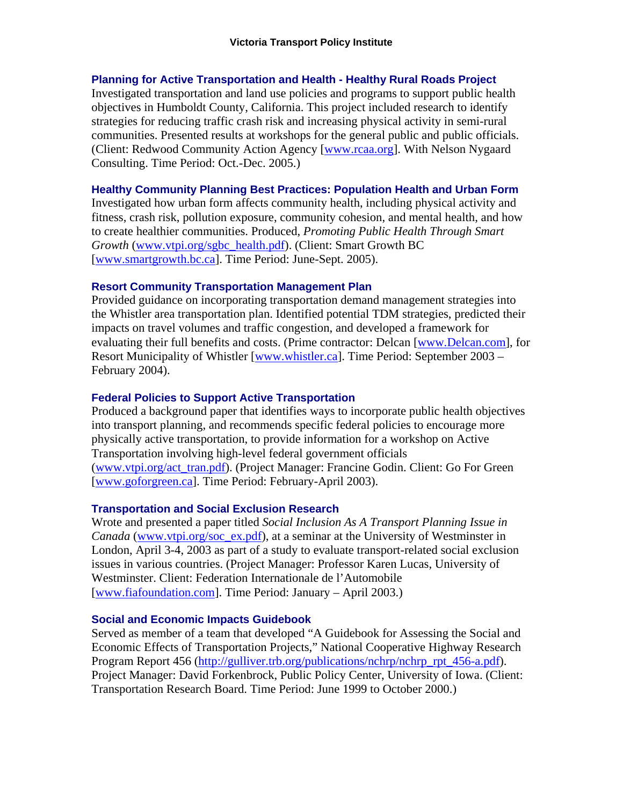#### **Planning for Active Transportation and Health - Healthy Rural Roads Project**

Investigated transportation and land use policies and programs to support public health objectives in Humboldt County, California. This project included research to identify strategies for reducing traffic crash risk and increasing physical activity in semi-rural communities. Presented results at workshops for the general public and public officials. (Client: Redwood Community Action Agency [www.rcaa.org]. With Nelson Nygaard Consulting. Time Period: Oct.-Dec. 2005.)

#### **Healthy Community Planning Best Practices: Population Health and Urban Form**

Investigated how urban form affects community health, including physical activity and fitness, crash risk, pollution exposure, community cohesion, and mental health, and how to create healthier communities. Produced, *Promoting Public Health Through Smart Growth* (www.vtpi.org/sgbc\_health.pdf). (Client: Smart Growth BC [www.smartgrowth.bc.ca]. Time Period: June-Sept. 2005).

#### **Resort Community Transportation Management Plan**

Provided guidance on incorporating transportation demand management strategies into the Whistler area transportation plan. Identified potential TDM strategies, predicted their impacts on travel volumes and traffic congestion, and developed a framework for evaluating their full benefits and costs. (Prime contractor: Delcan [www.Delcan.com], for Resort Municipality of Whistler [www.whistler.ca]. Time Period: September 2003 – February 2004).

#### **Federal Policies to Support Active Transportation**

Produced a background paper that identifies ways to incorporate public health objectives into transport planning, and recommends specific federal policies to encourage more physically active transportation, to provide information for a workshop on Active Transportation involving high-level federal government officials (www.vtpi.org/act\_tran.pdf). (Project Manager: Francine Godin. Client: Go For Green [www.goforgreen.ca]. Time Period: February-April 2003).

#### **Transportation and Social Exclusion Research**

Wrote and presented a paper titled *Social Inclusion As A Transport Planning Issue in Canada* (www.vtpi.org/soc\_ex.pdf), at a seminar at the University of Westminster in London, April 3-4, 2003 as part of a study to evaluate transport-related social exclusion issues in various countries. (Project Manager: Professor Karen Lucas, University of Westminster. Client: Federation Internationale de l'Automobile [www.fiafoundation.com]. Time Period: January – April 2003.)

#### **Social and Economic Impacts Guidebook**

Served as member of a team that developed "A Guidebook for Assessing the Social and Economic Effects of Transportation Projects," National Cooperative Highway Research Program Report 456 (http://gulliver.trb.org/publications/nchrp/nchrp\_rpt\_456-a.pdf). Project Manager: David Forkenbrock, Public Policy Center, University of Iowa. (Client: Transportation Research Board. Time Period: June 1999 to October 2000.)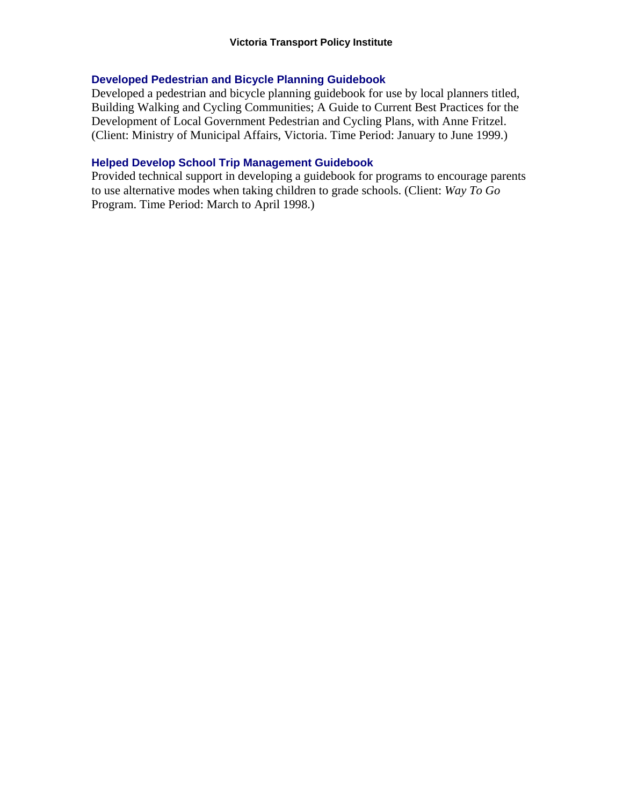#### **Developed Pedestrian and Bicycle Planning Guidebook**

Developed a pedestrian and bicycle planning guidebook for use by local planners titled, Building Walking and Cycling Communities; A Guide to Current Best Practices for the Development of Local Government Pedestrian and Cycling Plans, with Anne Fritzel. (Client: Ministry of Municipal Affairs, Victoria. Time Period: January to June 1999.)

#### **Helped Develop School Trip Management Guidebook**

Provided technical support in developing a guidebook for programs to encourage parents to use alternative modes when taking children to grade schools. (Client: *Way To Go* Program. Time Period: March to April 1998.)